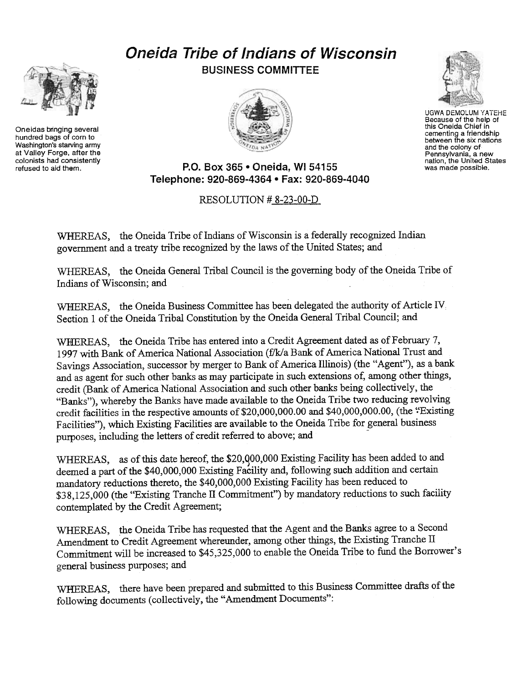## Oneida Tribe of Indians of Wisconsin BUSINESS COMMITTEE





UGWA DEMOLUM YATEHE Because of the help of this Oneida Chief in cementing a friendshij<br>between the six nation and the colony of Pennsylvania, a new nation, the United States was made possibie.

P.O. Box 365 . Oneida, WI 54155 Telephone: 920-869-4364 · Fax: 920-869-4040

## RESOLUTION # 8-23-00-D

WHEREAS, the Oneida Tribe of Indians of Wisconsin is a federally recognized Indian government. and a treaty tribe recognized by the laws of the United States; and

WHEREAS, the Oneida General Tribal Council is the governing body of the Oneida Tribe of Indians of Wisconsin; and

WHEREAS, the Oneida Business Committee has been delegated the authority of Article IV Section 1 of the Oneida Tribal Constitution by the Oneida General Tribal Council; and

WHEREAS, the Oneida Tribe has entered into a Credit Agreement dated as of February 7, 1997 with Bank of America National Association (f/k/a Bank of America National Trust and Savings Association, successor by merger to Bank of America Illinois) (the "Agent"), as a bank and as agent for such other banks as may participate in such extensions of, among other things, credit (Bank of America National Association and such other banks being collectively, the "Banks"), whereby the Banks have made available to the Oneida Tribe two reducing revolving credit facilities in the respective amounts of \$20,000,000.00 and \$40,000,000.00, (the "Existing Facilities"), which Existing Facilities are available to the Oneida Tribe for general business purposes, including the letters of credit referred to above; and

WHEREAS, as of this date hereof, the \$20,000,000 Existing Facility has been added to and deemed a part of the \$40,000,000 Existing Facility and, following such addition and certain mandatory reductions thereto, the \$40,000,000 Existing Facility has been reduced to \$38,125,000 (the "Existing Tranche II Commitment") by mandatory reductions to such facility contemplated by the Credit Agreement;

WHEREAS, the Oneida Tribe has requested that the Agent and the Banks agree to a Second Amendment to Credit Agreement whereunder, among other things, the Existing Tranche II Commitment will be increased to \$45,325,000 to enable the Oneida Tribe to fund the Borrower's general business purposes; and

WFIEREAS, there have been prepared and submitted to this Business Committee drafts of the following documents (collectively, the "Amendment Documents":



Oneidas bringing several hundred bags of corn to Washington's starving army at Valley Forge, after the colonists had consistently<br>refused to aid them.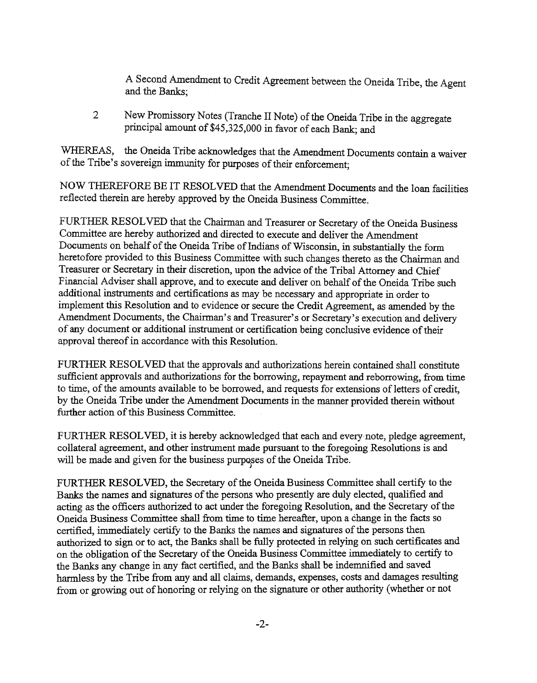A Second Amendment to Credit Agreement between the Oneida Tribe, the Agent and the Banks;

2 New Promissory Notes (Tranche II Note) of the Oneida Tribe in the aggregate principal amount of \$45,325,000 in favor of each Bank; and

WHEREAS, the Oneida Tribe acknowledges that the Amendment Documents contain a waiver of the Tribe's sovereign immunity for purposes of their enforcement;

NOW THEREFORE BE IT RESOLVED that the Amendment Documents and the loan facilities reflected therein are hereby approved by the Oneida Business Committee.

FURTHER RESOLVED that the Chairman and Treasurer or Secretary of the Oneida Business Committee are hereby authorized and directed to execute and deliver the Amendment Documents on behalf of the Oneida Tribe of Indians of Wisconsin, in substantially the fonn heretofore provided to this Business Committee with such changes thereto as the Chairman and Treasurer or Secretary in their discretion, upon the advice of the Tribal Attorney and Chief Financial Adviser shall approve, and to execute and deliver on behalf of the Oneida Tribe such additional instruments and certifications as may be necessary and appropriate in order to implement this Resolution and to evidence or secure the Credit Agreement, as amended by the Amendment Documents, the Chairman's and Treasurer's or Secretary's execution and delivery of any document or additional instrument or certification being conclusive evidence of their approval thereof in accordance with this Resolution.

FURTHER RESOLVED that the approvals and authorizations herein contained shall constitute sufficient approvals and authorizations for the borrowing, repayment and reborrowing, from time to time, of the amounts available to be borrowed, and requests for extensions of letters of credit, by the Oneida Tribe under the Amendment Documents in the manner provided therein without further action of this Business Committee.

FURTHER RESOLVED, it is hereby acknowledged that each and every note, pledge agreement, collateral agreement, and other instrument made pursuant to the foregoing Resolutions is and will be made and given for the business purposes of the Oneida Tribe.

FURTHER RESOLVED, the Secretary of the Oneida Business Committee shall certify to the Banks the names and signatures of the persons who presently are duly elected, qualified and acting as the officers authorized to act under the foregoing Resolution, and the Secretary of the Oneida Business Committee shall from time to time hereafter, upon a change in the facts so certified, immediately certify to the Banks the names and signatures of the persons then authorized to sign or to act, the Banks shall be fully protected in relying on such certificates and on the obligation of the Secretary of the Oneida Business Committee immediately to certify to the Banks any change in any fact certified, and the Banks shall be indemnified and saved harmless by the Tribe from any and all claims, demands, expenses, costs and damages resulting from or growing out of honoring or relying on the signature or other authority (whether or not